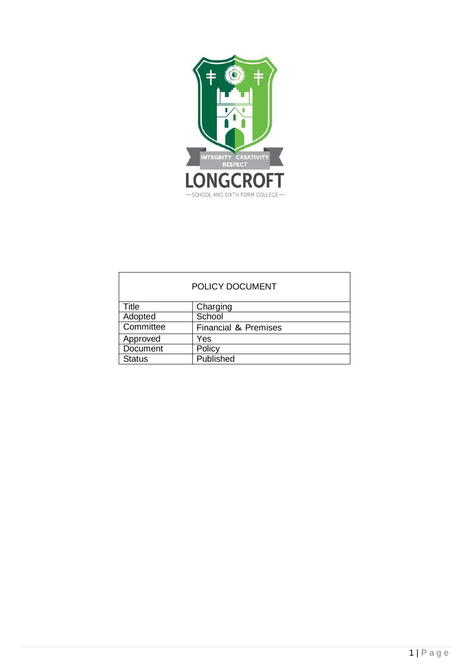

| <b>POLICY DOCUMENT</b> |                                 |  |
|------------------------|---------------------------------|--|
| <b>Title</b>           | Charging                        |  |
| Adopted                | School                          |  |
| Committee              | <b>Financial &amp; Premises</b> |  |
| Approved               | Yes                             |  |
| Document               | Policy                          |  |
| <b>Status</b>          | Published                       |  |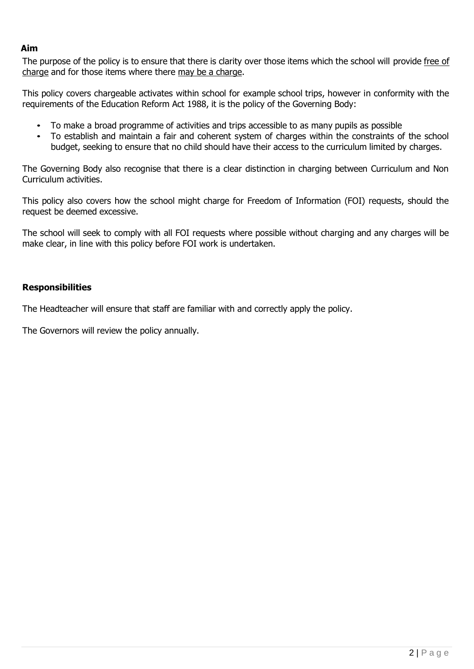### **Aim**

The purpose of the policy is to ensure that there is clarity over those items which the school will provide free of charge and for those items where there may be a charge.

This policy covers chargeable activates within school for example school trips, however in conformity with the requirements of the Education Reform Act 1988, it is the policy of the Governing Body:

- To make a broad programme of activities and trips accessible to as many pupils as possible
- To establish and maintain a fair and coherent system of charges within the constraints of the school budget, seeking to ensure that no child should have their access to the curriculum limited by charges.

The Governing Body also recognise that there is a clear distinction in charging between Curriculum and Non Curriculum activities.

This policy also covers how the school might charge for Freedom of Information (FOI) requests, should the request be deemed excessive.

The school will seek to comply with all FOI requests where possible without charging and any charges will be make clear, in line with this policy before FOI work is undertaken.

#### **Responsibilities**

The Headteacher will ensure that staff are familiar with and correctly apply the policy.

The Governors will review the policy annually.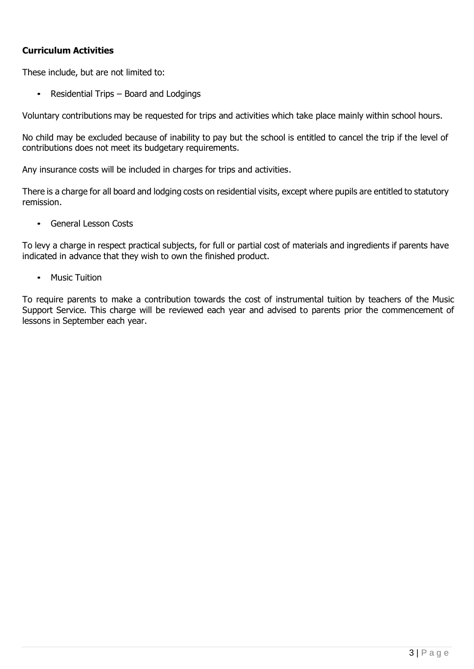# **Curriculum Activities**

These include, but are not limited to:

• Residential Trips – Board and Lodgings

Voluntary contributions may be requested for trips and activities which take place mainly within school hours.

No child may be excluded because of inability to pay but the school is entitled to cancel the trip if the level of contributions does not meet its budgetary requirements.

Any insurance costs will be included in charges for trips and activities.

There is a charge for all board and lodging costs on residential visits, except where pupils are entitled to statutory remission.

• General Lesson Costs

To levy a charge in respect practical subjects, for full or partial cost of materials and ingredients if parents have indicated in advance that they wish to own the finished product.

• Music Tuition

To require parents to make a contribution towards the cost of instrumental tuition by teachers of the Music Support Service. This charge will be reviewed each year and advised to parents prior the commencement of lessons in September each year.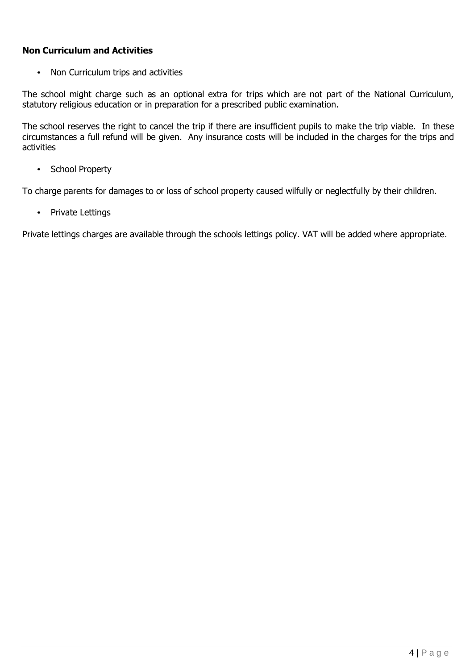# **Non Curriculum and Activities**

• Non Curriculum trips and activities

The school might charge such as an optional extra for trips which are not part of the National Curriculum, statutory religious education or in preparation for a prescribed public examination.

The school reserves the right to cancel the trip if there are insufficient pupils to make the trip viable. In these circumstances a full refund will be given. Any insurance costs will be included in the charges for the trips and activities

• School Property

To charge parents for damages to or loss of school property caused wilfully or neglectfully by their children.

• Private Lettings

Private lettings charges are available through the schools lettings policy. VAT will be added where appropriate.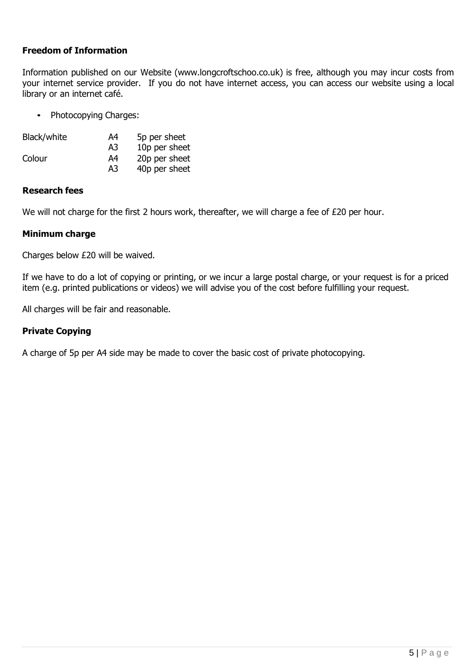### **Freedom of Information**

Information published on our Website (www.longcroftschoo.co.uk) is free, although you may incur costs from your internet service provider. If you do not have internet access, you can access our website using a local library or an internet café.

• Photocopying Charges:

| Black/white | A4 | 5p per sheet  |
|-------------|----|---------------|
|             | A3 | 10p per sheet |
| Colour      | A4 | 20p per sheet |
|             | A3 | 40p per sheet |

#### **Research fees**

We will not charge for the first 2 hours work, thereafter, we will charge a fee of £20 per hour.

#### **Minimum charge**

Charges below £20 will be waived.

If we have to do a lot of copying or printing, or we incur a large postal charge, or your request is for a priced item (e.g. printed publications or videos) we will advise you of the cost before fulfilling your request.

All charges will be fair and reasonable.

### **Private Copying**

A charge of 5p per A4 side may be made to cover the basic cost of private photocopying.